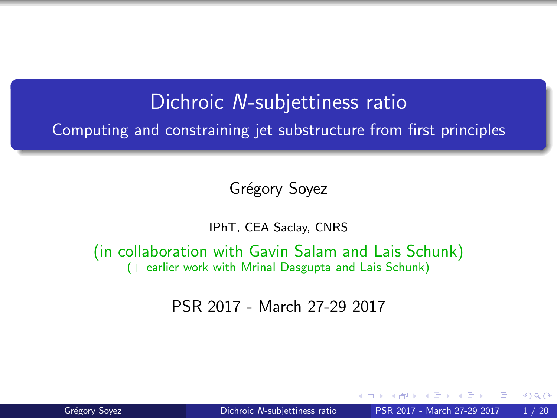#### Dichroic N-subjettiness ratio

<span id="page-0-0"></span>Computing and constraining jet substructure from first principles

Grégory Soyez

IPhT, CEA Saclay, CNRS

(in collaboration with Gavin Salam and Lais Schunk) (+ earlier work with Mrinal Dasgupta and Lais Schunk)

PSR 2017 - March 27-29 2017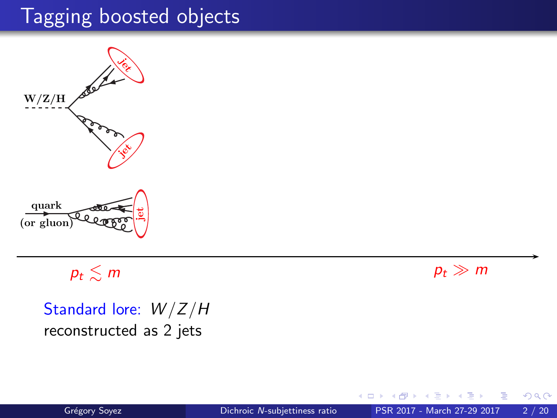

 $p_t \lesssim m$  pt  $\gg m$ 

Standard lore:  $W/Z/H$ reconstructed as 2 jets

 $\leftarrow$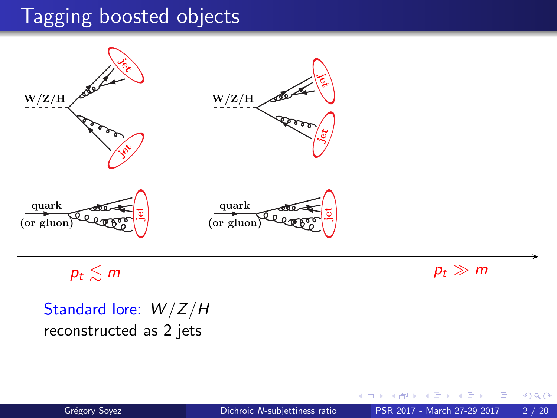

 $p_t \lesssim m$  pt  $\gg m$ 

Standard lore:  $W/Z/H$ reconstructed as 2 jets

 $\leftarrow$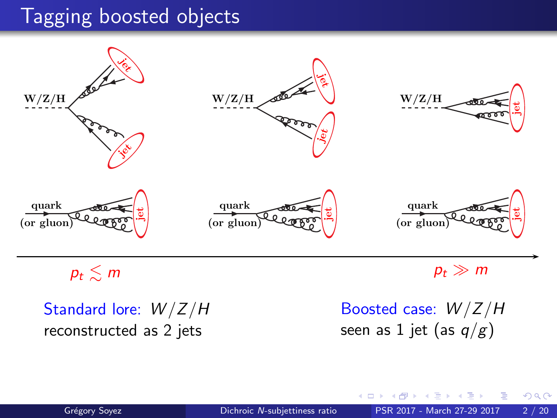

Standard lore:  $W/Z/H$ reconstructed as 2 jets

Boosted case:  $W/Z/H$ seen as 1 jet (as  $q/g$ )

4 0 8

 $2Q$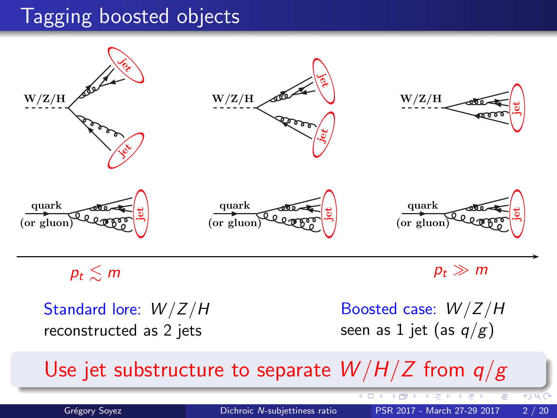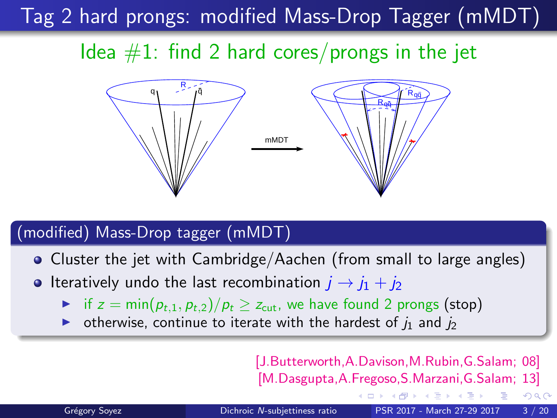Tag 2 hard prongs: modified Mass-Drop Tagger (mMDT)

Idea  $#1$ : find 2 hard cores/prongs in the jet



#### (modified) Mass-Drop tagger (mMDT)

- Cluster the jet with Cambridge/Aachen (from small to large angles)
- Iteratively undo the last recombination  $i \rightarrow i_1 + i_2$ 
	- if  $z = min(p_{t,1}, p_{t,2})/p_t \ge z_{\text{cut}}$ , we have found 2 prongs (stop)
	- otherwise, continue to iterate with the hardest of  $i_1$  and  $i_2$

[J.Butterworth,A.Davison,M.Rubin,G.Salam; 08] [M.Dasgupta,A.Fregoso,S.Marzani,G.Salam; 13]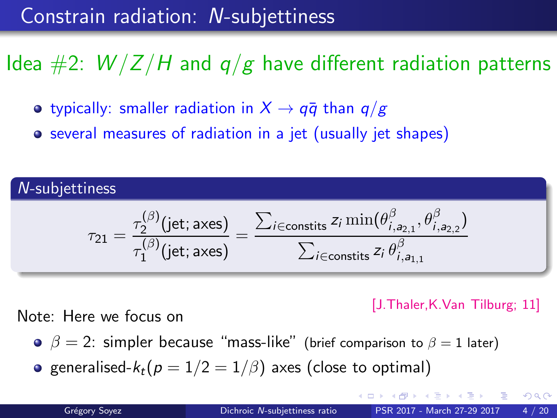## Constrain radiation: N-subjettiness

# Idea  $\#2$ :  $W/Z/H$  and  $q/g$  have different radiation patterns

- typically: smaller radiation in  $X \rightarrow q\bar{q}$  than  $q/g$
- several measures of radiation in a jet (usually jet shapes)

N-subjettiness  
\n
$$
\tau_{21} = \frac{\tau_2^{(\beta)}(\text{jet}; \text{axes})}{\tau_1^{(\beta)}(\text{jet}; \text{axes})} = \frac{\sum_{i \in \text{constits}} z_i \min(\theta_{i,a_{2,1}}^{\beta}, \theta_{i,a_{2,2}}^{\beta})}{\sum_{i \in \text{constits}} z_i \theta_{i,a_{1,1}}^{\beta}}
$$

[J.Thaler,K.Van Tilburg; 11]

Note: Here we focus on

- $\theta \quad \beta = 2$ : simpler because "mass-like" (brief comparison to  $\beta = 1$  later)
- generalised- $k_t(p = 1/2 = 1/\beta)$  axes (close to optimal)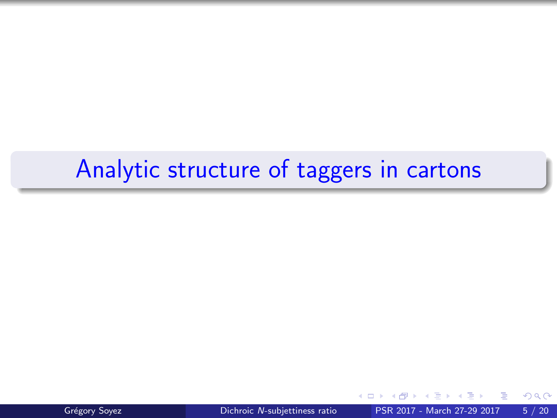# Analytic structure of taggers in cartons



Grégory Soyez **Dichroic N[-subjettiness ratio](#page-0-0)** PSR 2017 - March 27-29 2017 5 / 20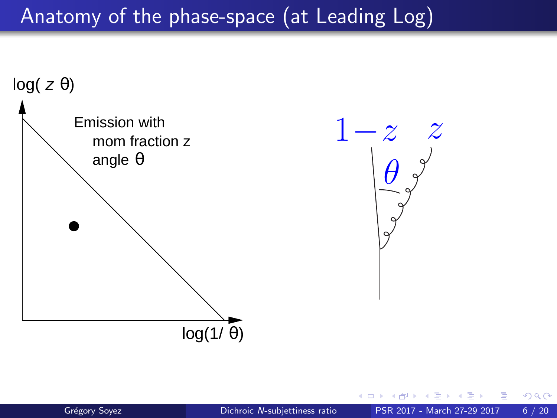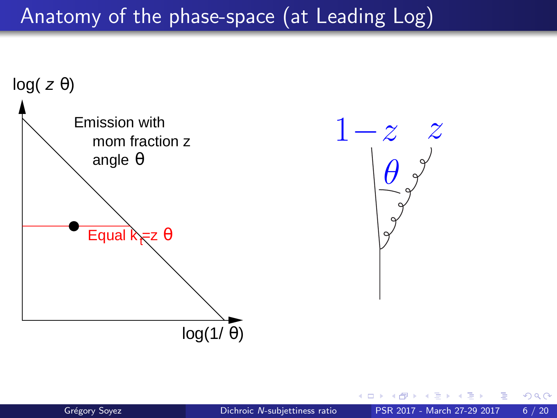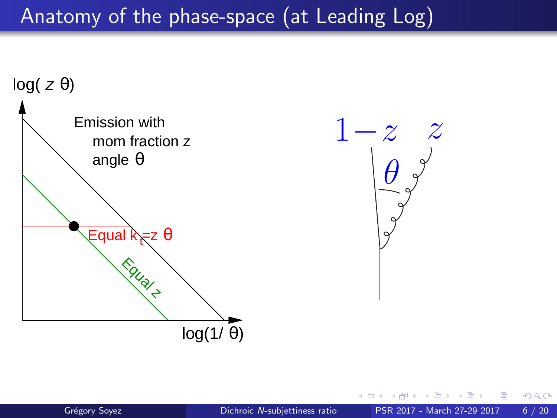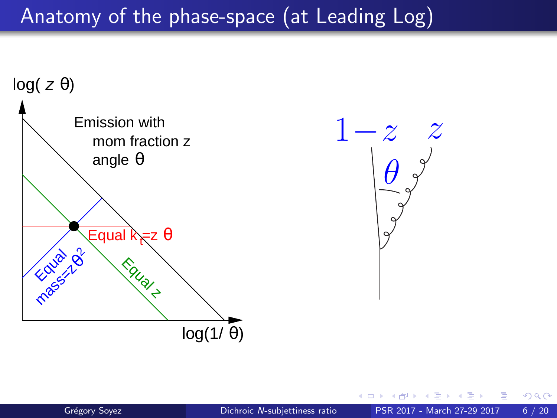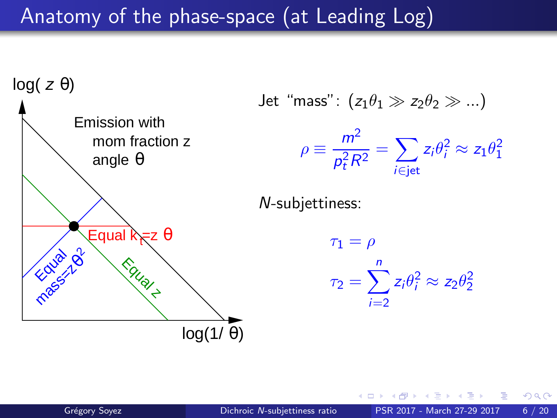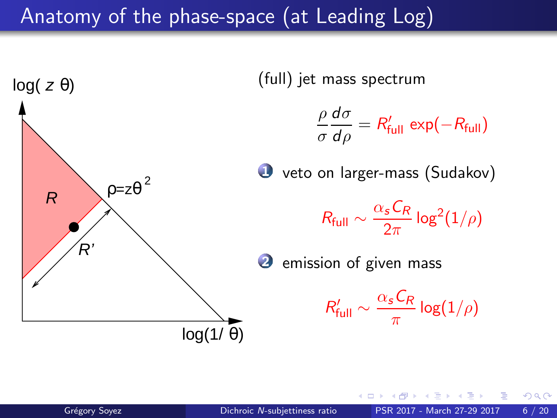

 $\Omega$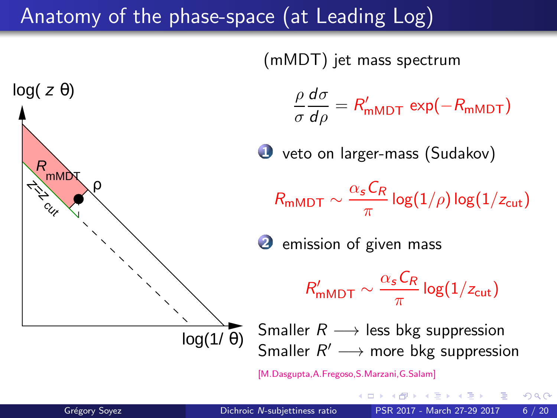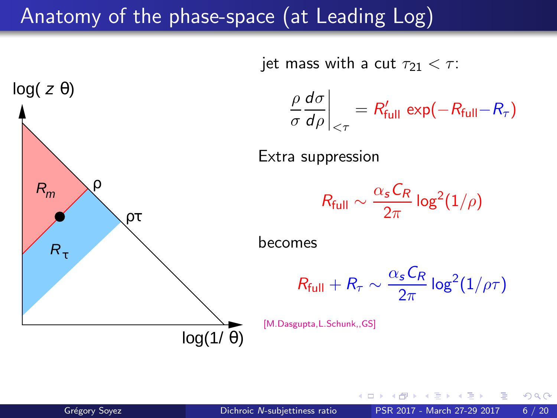

 $2Q$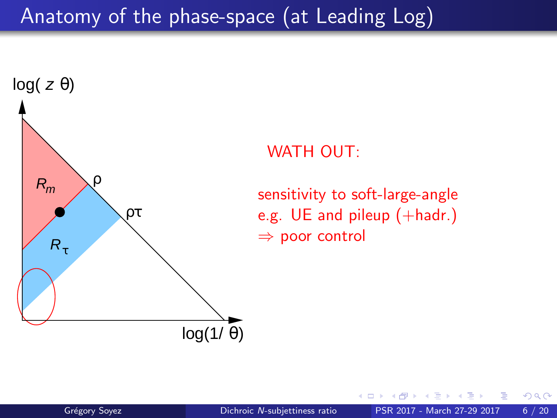

#### WATH OUT:

sensitivity to soft-large-angle e.g. UE and pileup (+hadr.) ⇒ poor control

 $2Q$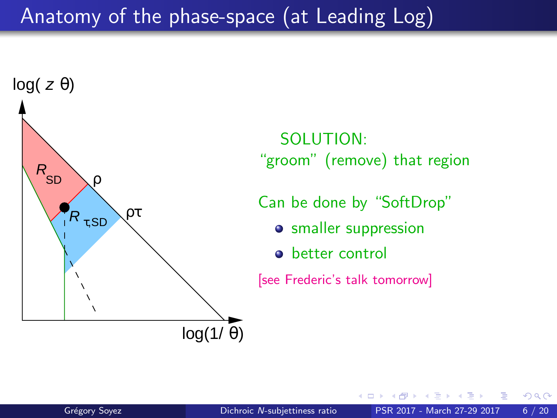

SOLUTION: "groom" (remove) that region

Can be done by "SoftDrop"

- **o** smaller suppression
- better control

[see Frederic's talk tomorrow]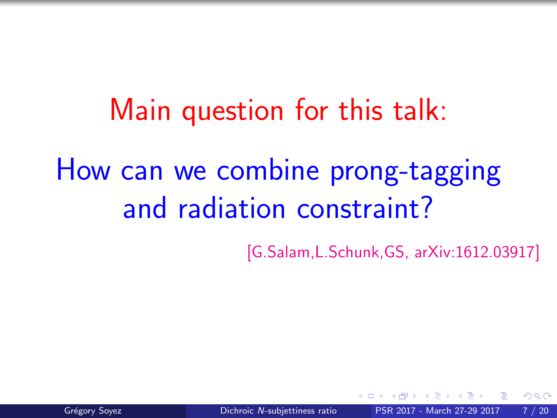Main question for this talk: How can we combine prong-tagging and radiation constraint?

[G.Salam,L.Schunk,GS, [arXiv:1612.03917\]](https://arxiv.org/abs/1612.03917)

 $\Omega$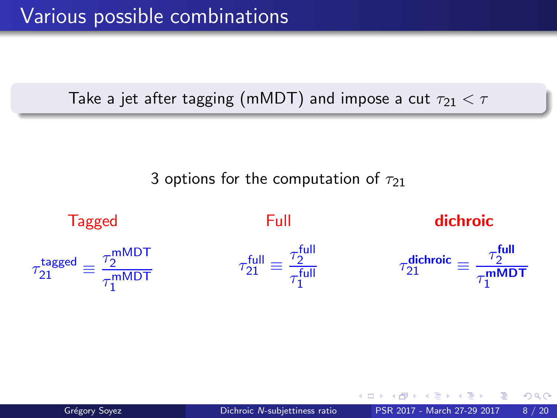Take a jet after tagging (mMDT) and impose a cut  $\tau_{21} < \tau$ 

3 options for the computation of  $\tau_{21}$ 

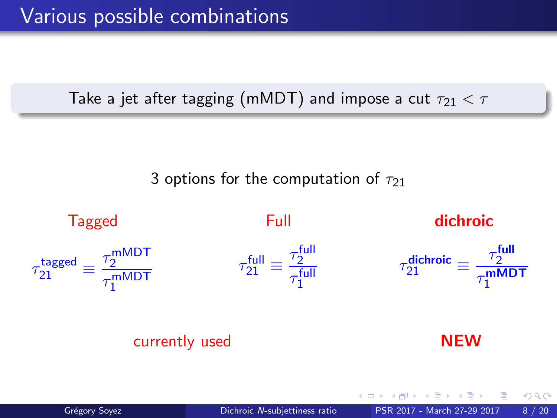Take a jet after tagging (mMDT) and impose a cut  $\tau_{21} < \tau$ 

3 options for the computation of  $\tau_{21}$ 

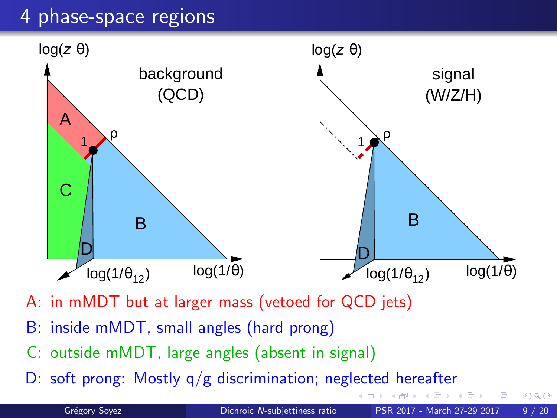### 4 phase-space regions



- A: in mMDT but at larger mass (vetoed for QCD jets)
- B: inside mMDT, small angles (hard prong)
- C: outside mMDT, large angles (absent in signal)
- D: soft prong: Mostly q/g discrimination; neglected hereafter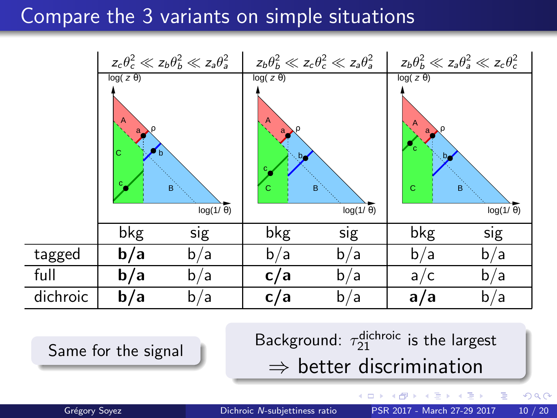### Compare the 3 variants on simple situations

|          | $z_c\theta_c^2 \ll z_b\theta_b^2 \ll z_a\theta_a^2$ |     | $z_b\theta_b^2\ll z_c\theta_c^2\ll z_a\theta_a^2$  |           | $z_b\theta_b^2\ll z_a\theta_a^2\ll z_c\theta_c^2$           |           |
|----------|-----------------------------------------------------|-----|----------------------------------------------------|-----------|-------------------------------------------------------------|-----------|
|          | $log(z \theta)$<br>Ċ<br>n<br>B<br>$log(1/\theta)$   |     | $log(z \theta)$<br>b,<br>B<br>С<br>$log(1/\theta)$ |           | $log(z \theta)$<br>$b_{\rm c}$<br>C<br>B<br>$log(1/\theta)$ |           |
|          | bkg                                                 | sig | bkg                                                | sig       | bkg                                                         | sig       |
| tagged   | b/a                                                 | b/a | b/a                                                | b/a       | b/a                                                         | b/a       |
| full     | b/a                                                 | b/a | c/a                                                | b/a       | a,<br>/ C                                                   | b/a       |
| dichroic | b/a                                                 | b/a | c/a                                                | ۵ /<br>b. | a <sub>l</sub><br>'a                                        | a /<br>b, |

Same for the signal

<sup>dichroic</sup> is the largest.  $\Rightarrow$  better discrimination

 $\leftarrow$ 

 $2Q$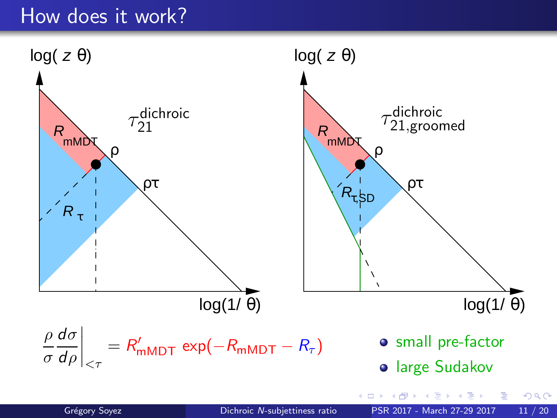### How does it work?

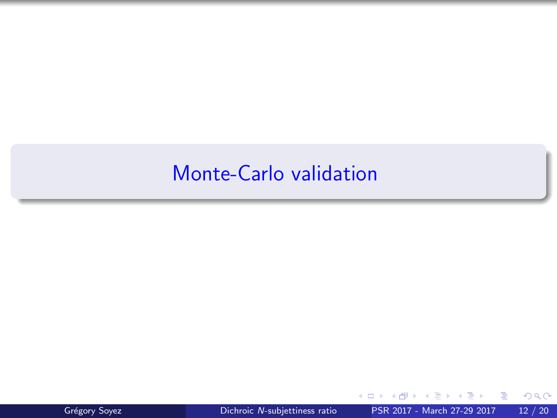### Monte-Carlo validation



**D** 

 $298$ 

э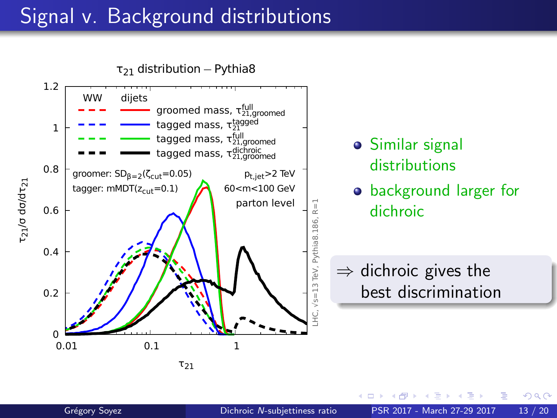## Signal v. Background distributions

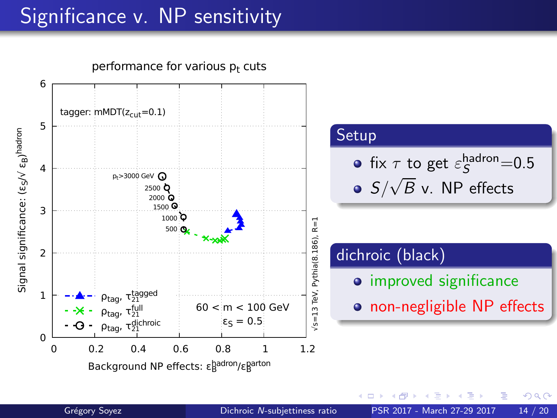# Significance v. NP sensitivity



 $2Q$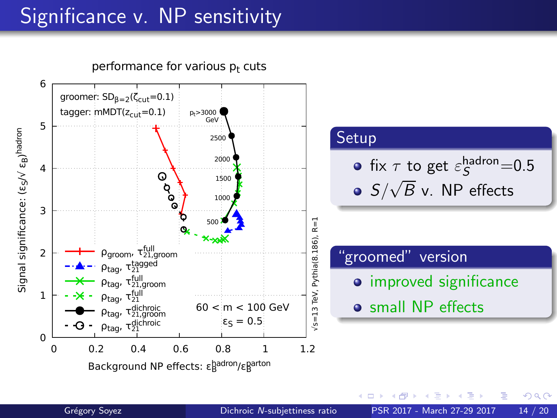# Significance v. NP sensitivity



 $\leftarrow$ 

 $2Q$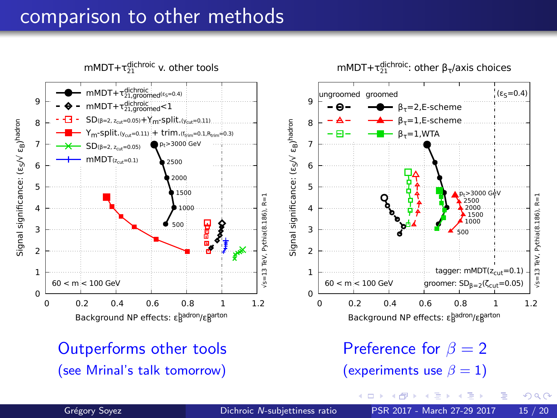#### comparison to other methods

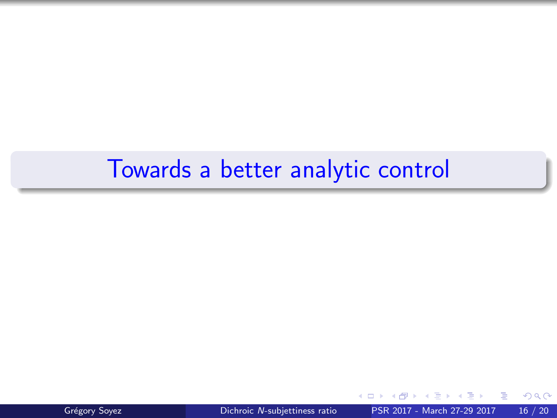# Towards a better analytic control

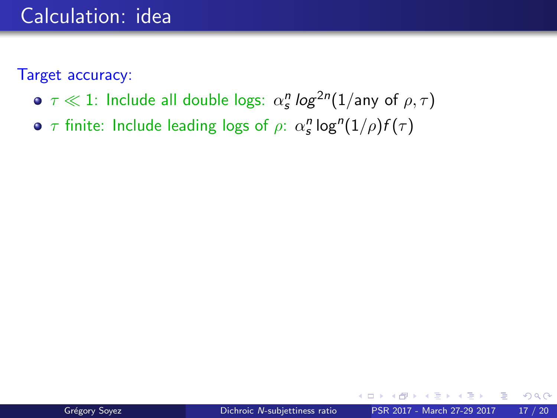### Calculation: idea

Target accuracy:

- $\tau \ll 1$ : Include all double logs:  $\alpha_s^n \log^{2n}(1/\text{any of }\rho, \tau)$
- $\tau$  finite: Include leading logs of  $\rho$ :  $\alpha_s^n$  log" $(1/\rho)f(\tau)$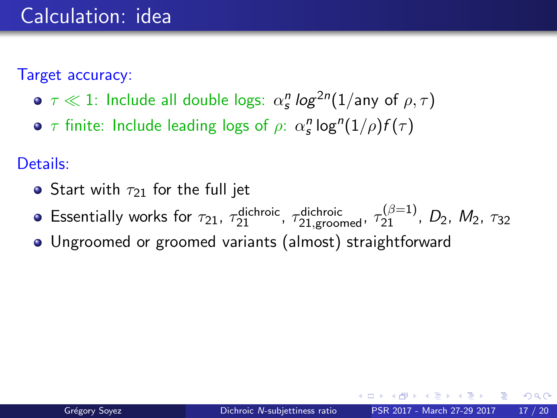Target accuracy:

- $\tau \ll 1$ : Include all double logs:  $\alpha_s^n \log^{2n}(1/\text{any of }\rho, \tau)$
- $\tau$  finite: Include leading logs of  $\rho$ :  $\alpha_s^n$  log" $(1/\rho)f(\tau)$

Details:

- Start with  $\tau_{21}$  for the full jet
- Essentially works for  $\tau_{21}$ ,  $\tau_{21}^{\text{dichroic}}$ ,  $\tau_{21, \text{ground}}^{\text{dichroic}}$ ,  $\tau_{21}^{(\beta=1)}$ ,  $D_2$ ,  $M_2$ ,  $\tau_{32}$
- Ungroomed or groomed variants (almost) straightforward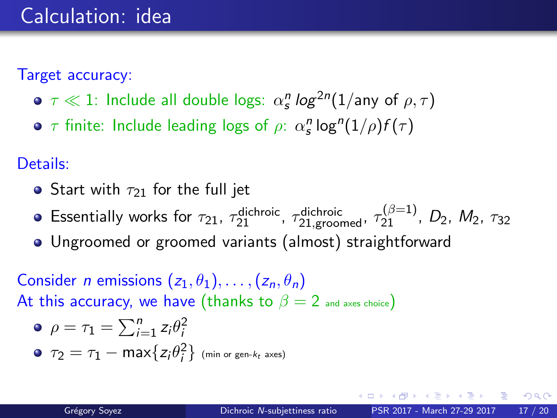Target accuracy:

- $\tau \ll 1$ : Include all double logs:  $\alpha_s^n \log^{2n}(1/\text{any of }\rho, \tau)$
- $\tau$  finite: Include leading logs of  $\rho$ :  $\alpha_s^n$  log" $(1/\rho)f(\tau)$

Details:

- Start with  $\tau_{21}$  for the full jet
- Essentially works for  $\tau_{21}$ ,  $\tau_{21}^{\text{dichroic}}$ ,  $\tau_{21, \text{ground}}^{\text{dichroic}}$ ,  $\tau_{21}^{(\beta=1)}$ ,  $D_2$ ,  $M_2$ ,  $\tau_{32}$
- Ungroomed or groomed variants (almost) straightforward

Consider *n* emissions  $(z_1, \theta_1), \ldots, (z_n, \theta_n)$ At this accuracy, we have (thanks to  $\beta = 2$  and axes choice)

\n- $$
\rho = \tau_1 = \sum_{i=1}^{n} z_i \theta_i^2
$$
\n- $\tau_2 = \tau_1 - \max\{z_i \theta_i^2\}$  (min or gen-k<sub>t</sub> axes)
\n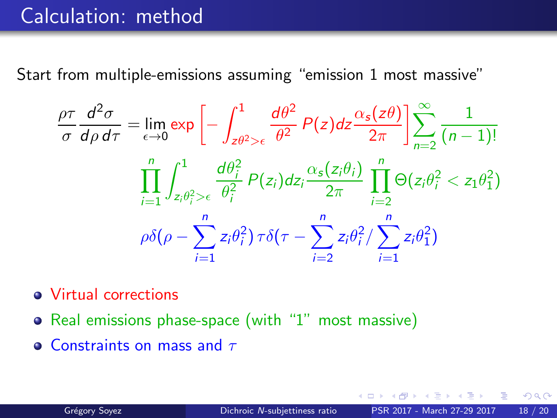## Calculation: method

Start from multiple-emissions assuming "emission 1 most massive"

$$
\frac{\rho\tau}{\sigma}\frac{d^2\sigma}{d\rho d\tau} = \lim_{\epsilon \to 0} \exp\left[-\int_{z\theta^2>\epsilon}^1 \frac{d\theta^2}{\theta^2} P(z)dz \frac{\alpha_s(z\theta)}{2\pi}\right] \sum_{n=2}^\infty \frac{1}{(n-1)!}
$$

$$
\prod_{i=1}^n \int_{z_i\theta_i^2>\epsilon}^1 \frac{d\theta_i^2}{\theta_i^2} P(z_i)dz_i \frac{\alpha_s(z_i\theta_i)}{2\pi} \prod_{i=2}^n \Theta(z_i\theta_i^2 < z_1\theta_1^2)
$$

$$
\rho\delta(\rho - \sum_{i=1}^n z_i\theta_i^2) \tau\delta(\tau - \sum_{i=2}^n z_i\theta_i^2) \sum_{i=1}^n z_i\theta_1^2)
$$

- Virtual corrections
- Real emissions phase-space (with "1" most massive)
- **Constraints on mass and**  $\tau$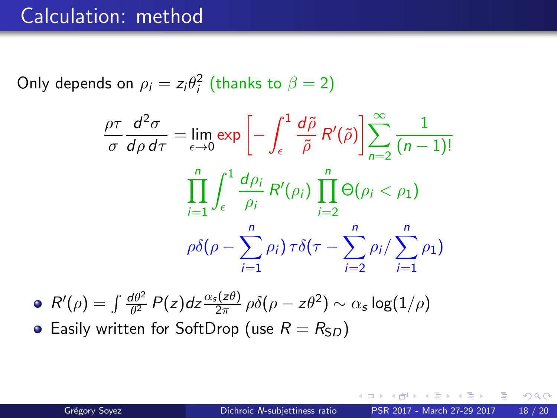### Calculation: method

Only depends on  $\rho_i=z_i\theta_i^2$  (thanks to  $\beta=2)$ 

$$
\frac{\rho\tau}{\sigma}\frac{d^2\sigma}{d\rho d\tau} = \lim_{\epsilon \to 0} \exp\left[-\int_{\epsilon}^{1} \frac{d\tilde{\rho}}{\tilde{\rho}} R'(\tilde{\rho})\right] \sum_{n=2}^{\infty} \frac{1}{(n-1)!}
$$

$$
\prod_{i=1}^{n} \int_{\epsilon}^{1} \frac{d\rho_i}{\rho_i} R'(\rho_i) \prod_{i=2}^{n} \Theta(\rho_i < \rho_1)
$$

$$
\rho\delta(\rho - \sum_{i=1}^{n} \rho_i) \tau\delta(\tau - \sum_{i=2}^{n} \rho_i / \sum_{i=1}^{n} \rho_1)
$$

 $R'(\rho) = \int \frac{d\theta^2}{\theta^2}$  $\frac{d\theta^2}{\theta^2}$  P(z)dz $\frac{\alpha_s(z\theta)}{2\pi}$  ρδ(ρ — zθ<sup>2</sup>)  $\sim \alpha_s \log(1/\rho)$ • Easily written for SoftDrop (use  $R = R_{SD}$ )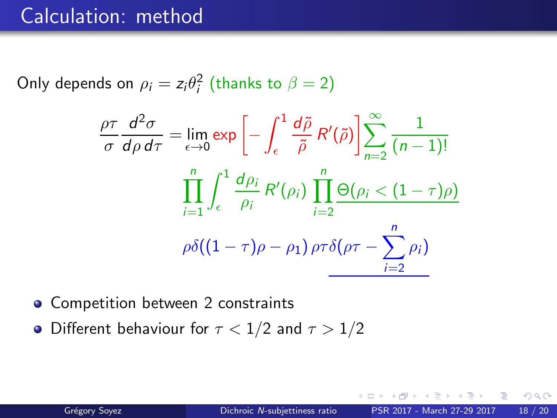### Calculation: method

Only depends on  $\rho_i=z_i\theta_i^2$  (thanks to  $\beta=2)$ 

$$
\frac{\rho \tau}{\sigma} \frac{d^2 \sigma}{d \rho d \tau} = \lim_{\epsilon \to 0} \exp \left[ - \int_{\epsilon}^1 \frac{d \tilde{\rho}}{\tilde{\rho}} R'(\tilde{\rho}) \right] \sum_{n=2}^{\infty} \frac{1}{(n-1)!}
$$

$$
\prod_{i=1}^n \int_{\epsilon}^1 \frac{d \rho_i}{\rho_i} R'(\rho_i) \prod_{i=2}^n \frac{\Theta(\rho_i < (1-\tau)\rho)}{\Theta((1-\tau)\rho - \rho_1) \rho \tau \delta(\rho \tau - \sum_{i=2}^n \rho_i)}
$$

- Competition between 2 constraints
- Different behaviour for  $\tau < 1/2$  and  $\tau > 1/2$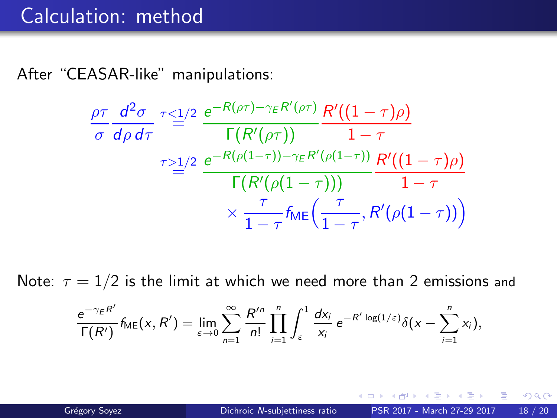After "CEASAR-like" manipulations:

$$
\frac{\rho\tau}{\sigma}\frac{d^2\sigma}{d\rho d\tau} \stackrel{\tau \leq 1/2}{=} \frac{e^{-R(\rho\tau)-\gamma_E R'(\rho\tau)}}{\Gamma(R'(\rho\tau))}\frac{R'((1-\tau)\rho)}{1-\tau}
$$
\n
$$
\stackrel{\tau \geq 1/2}{=} \frac{e^{-R(\rho(1-\tau))-\gamma_E R'(\rho(1-\tau))}}{\Gamma(R'(\rho(1-\tau)))}\frac{R'((1-\tau)\rho)}{1-\tau}
$$
\n
$$
\times \frac{\tau}{1-\tau}f_{ME}\left(\frac{\tau}{1-\tau}, R'(\rho(1-\tau))\right)
$$

Note:  $\tau = 1/2$  is the limit at which we need more than 2 emissions and

$$
\frac{e^{-\gamma_E R'}}{\Gamma(R')} f_{\text{ME}}(x, R') = \lim_{\varepsilon \to 0} \sum_{n=1}^{\infty} \frac{R'^n}{n!} \prod_{i=1}^n \int_{\varepsilon}^1 \frac{dx_i}{x_i} e^{-R' \log(1/\varepsilon)} \delta(x - \sum_{i=1}^n x_i),
$$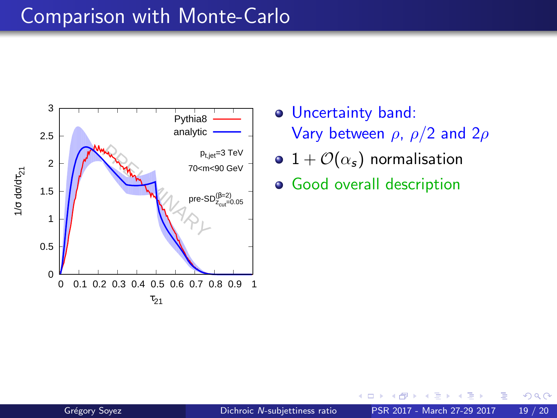## Comparison with Monte-Carlo



- Uncertainty band: Vary between  $\rho$ ,  $\rho/2$  and  $2\rho$
- 1 +  $\mathcal{O}(\alpha_s)$  normalisation
- **•** Good overall description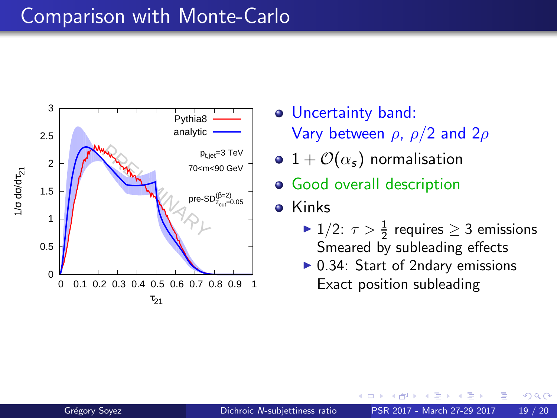### Comparison with Monte-Carlo



- Uncertainty band: Vary between  $\rho$ ,  $\rho/2$  and  $2\rho$
- 1 +  $\mathcal{O}(\alpha_s)$  normalisation
- **•** Good overall description
- **o** Kinks
	- ►  $1/2$ :  $\tau > \frac{1}{2}$  requires  $\geq 3$  emissions Smeared by subleading effects

 $\Omega$ 

 $\triangleright$  0.34: Start of 2ndary emissions Exact position subleading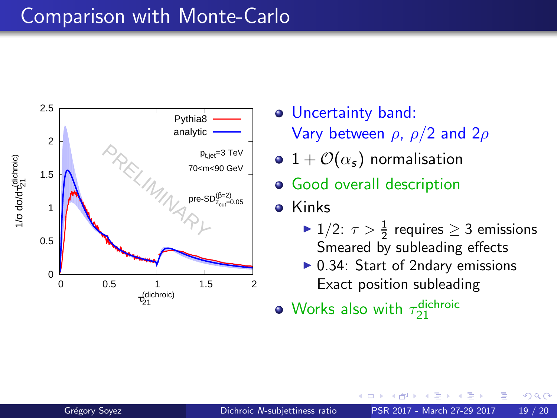## Comparison with Monte-Carlo



Uncertainty band: Vary between  $\rho$ ,  $\rho/2$  and  $2\rho$ 

- 1 +  $\mathcal{O}(\alpha_s)$  normalisation
- **•** Good overall description
- **o** Kinks
	- ►  $1/2$ :  $\tau > \frac{1}{2}$  requires  $\geq 3$  emissions Smeared by subleading effects

 $\Omega$ 

- $\triangleright$  0.34: Start of 2ndary emissions Exact position subleading
- Works also with  $\tau^{\textsf{dichroic}}_{21}$